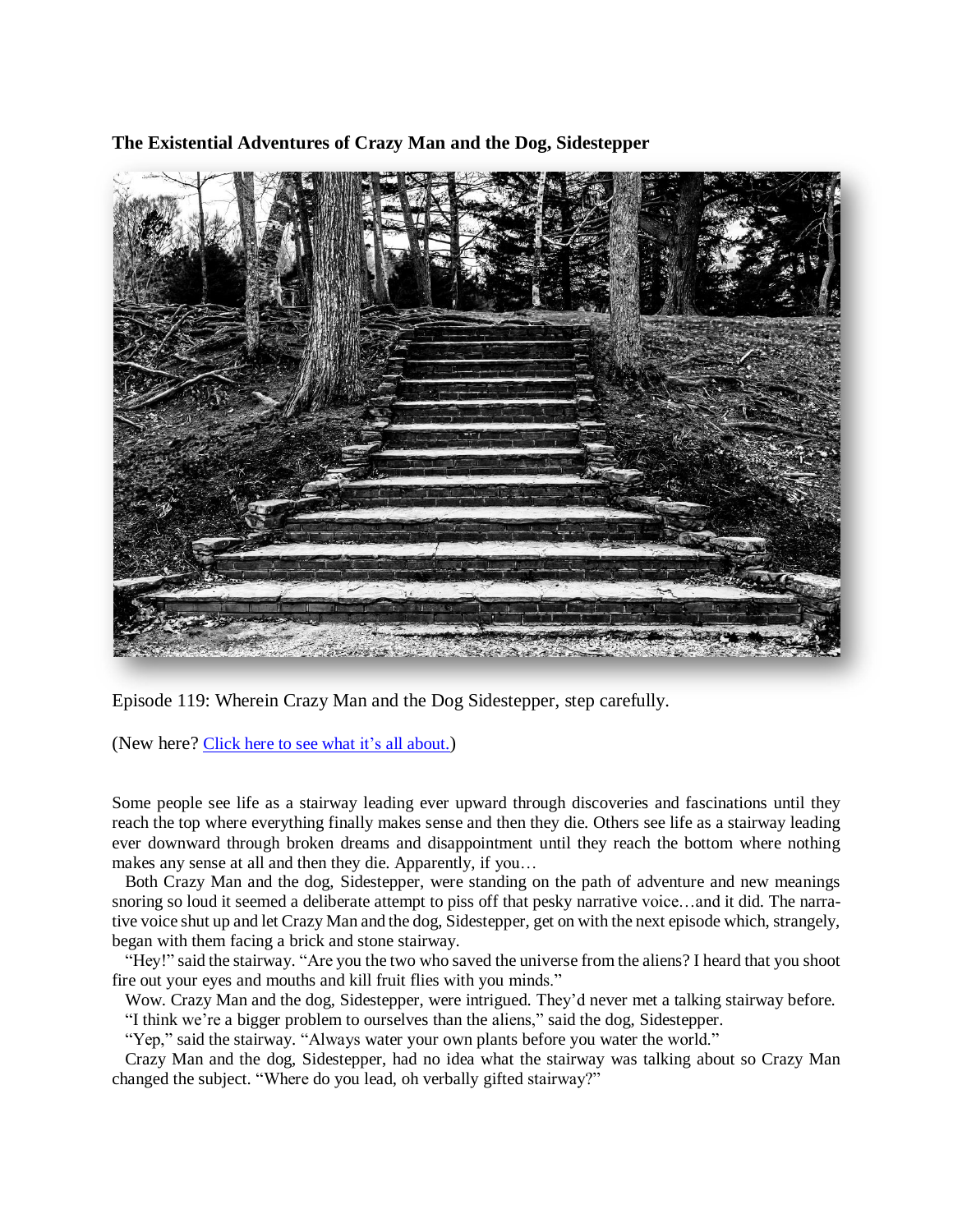**The Existential Adventures of Crazy Man and the Dog, Sidestepper**



Episode 119: Wherein Crazy Man and the Dog Sidestepper, step carefully.

(New here? Click here to see what it's all [about.](https://biffmitchell.com/crazy-man))

Some people see life as a stairway leading ever upward through discoveries and fascinations until they reach the top where everything finally makes sense and then they die. Others see life as a stairway leading ever downward through broken dreams and disappointment until they reach the bottom where nothing makes any sense at all and then they die. Apparently, if you…

 Both Crazy Man and the dog, Sidestepper, were standing on the path of adventure and new meanings snoring so loud it seemed a deliberate attempt to piss off that pesky narrative voice...and it did. The narrative voice shut up and let Crazy Man and the dog, Sidestepper, get on with the next episode which, strangely, began with them facing a brick and stone stairway.

 "Hey!" said the stairway. "Are you the two who saved the universe from the aliens? I heard that you shoot fire out your eyes and mouths and kill fruit flies with you minds."

 Wow. Crazy Man and the dog, Sidestepper, were intrigued. They'd never met a talking stairway before. "I think we're a bigger problem to ourselves than the aliens," said the dog, Sidestepper.

"Yep," said the stairway. "Always water your own plants before you water the world."

 Crazy Man and the dog, Sidestepper, had no idea what the stairway was talking about so Crazy Man changed the subject. "Where do you lead, oh verbally gifted stairway?"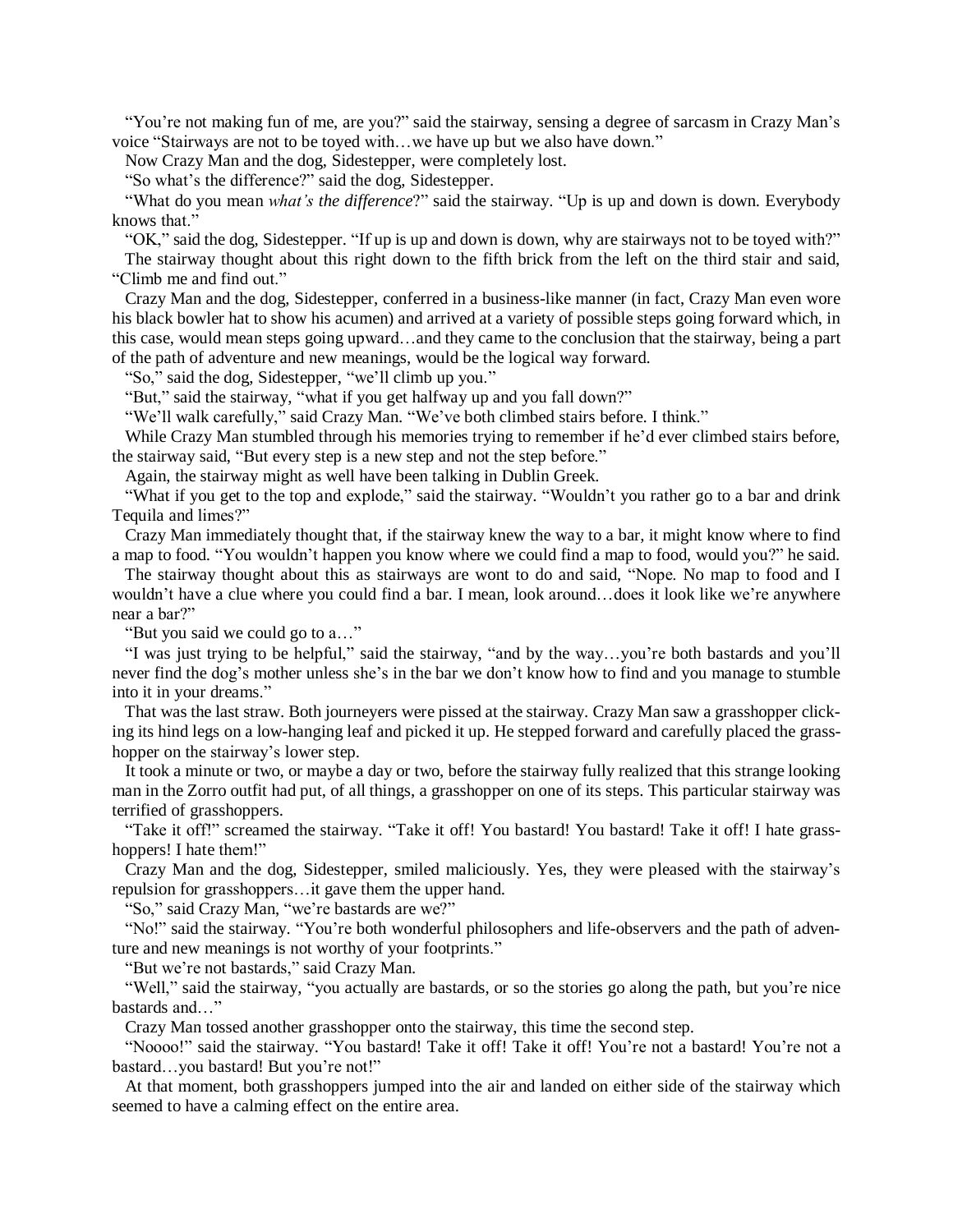"You're not making fun of me, are you?" said the stairway, sensing a degree of sarcasm in Crazy Man's voice "Stairways are not to be toyed with…we have up but we also have down."

Now Crazy Man and the dog, Sidestepper, were completely lost.

"So what's the difference?" said the dog, Sidestepper.

 "What do you mean *what's the difference*?" said the stairway. "Up is up and down is down. Everybody knows that."

 "OK," said the dog, Sidestepper. "If up is up and down is down, why are stairways not to be toyed with?" The stairway thought about this right down to the fifth brick from the left on the third stair and said, "Climb me and find out."

 Crazy Man and the dog, Sidestepper, conferred in a business-like manner (in fact, Crazy Man even wore his black bowler hat to show his acumen) and arrived at a variety of possible steps going forward which, in this case, would mean steps going upward…and they came to the conclusion that the stairway, being a part of the path of adventure and new meanings, would be the logical way forward.

"So," said the dog, Sidestepper, "we'll climb up you."

"But," said the stairway, "what if you get halfway up and you fall down?"

"We'll walk carefully," said Crazy Man. "We've both climbed stairs before. I think."

 While Crazy Man stumbled through his memories trying to remember if he'd ever climbed stairs before, the stairway said, "But every step is a new step and not the step before."

Again, the stairway might as well have been talking in Dublin Greek.

 "What if you get to the top and explode," said the stairway. "Wouldn't you rather go to a bar and drink Tequila and limes?"

 Crazy Man immediately thought that, if the stairway knew the way to a bar, it might know where to find a map to food. "You wouldn't happen you know where we could find a map to food, would you?" he said.

 The stairway thought about this as stairways are wont to do and said, "Nope. No map to food and I wouldn't have a clue where you could find a bar. I mean, look around…does it look like we're anywhere near a bar?"

"But you said we could go to a…"

 "I was just trying to be helpful," said the stairway, "and by the way…you're both bastards and you'll never find the dog's mother unless she's in the bar we don't know how to find and you manage to stumble into it in your dreams."

 That was the last straw. Both journeyers were pissed at the stairway. Crazy Man saw a grasshopper clicking its hind legs on a low-hanging leaf and picked it up. He stepped forward and carefully placed the grasshopper on the stairway's lower step.

 It took a minute or two, or maybe a day or two, before the stairway fully realized that this strange looking man in the Zorro outfit had put, of all things, a grasshopper on one of its steps. This particular stairway was terrified of grasshoppers.

 "Take it off!" screamed the stairway. "Take it off! You bastard! You bastard! Take it off! I hate grasshoppers! I hate them!"

 Crazy Man and the dog, Sidestepper, smiled maliciously. Yes, they were pleased with the stairway's repulsion for grasshoppers…it gave them the upper hand.

"So," said Crazy Man, "we're bastards are we?"

"No!" said the stairway. "You're both wonderful philosophers and life-observers and the path of adventure and new meanings is not worthy of your footprints."

"But we're not bastards," said Crazy Man.

 "Well," said the stairway, "you actually are bastards, or so the stories go along the path, but you're nice bastards and…"

Crazy Man tossed another grasshopper onto the stairway, this time the second step.

 "Noooo!" said the stairway. "You bastard! Take it off! Take it off! You're not a bastard! You're not a bastard…you bastard! But you're not!"

 At that moment, both grasshoppers jumped into the air and landed on either side of the stairway which seemed to have a calming effect on the entire area.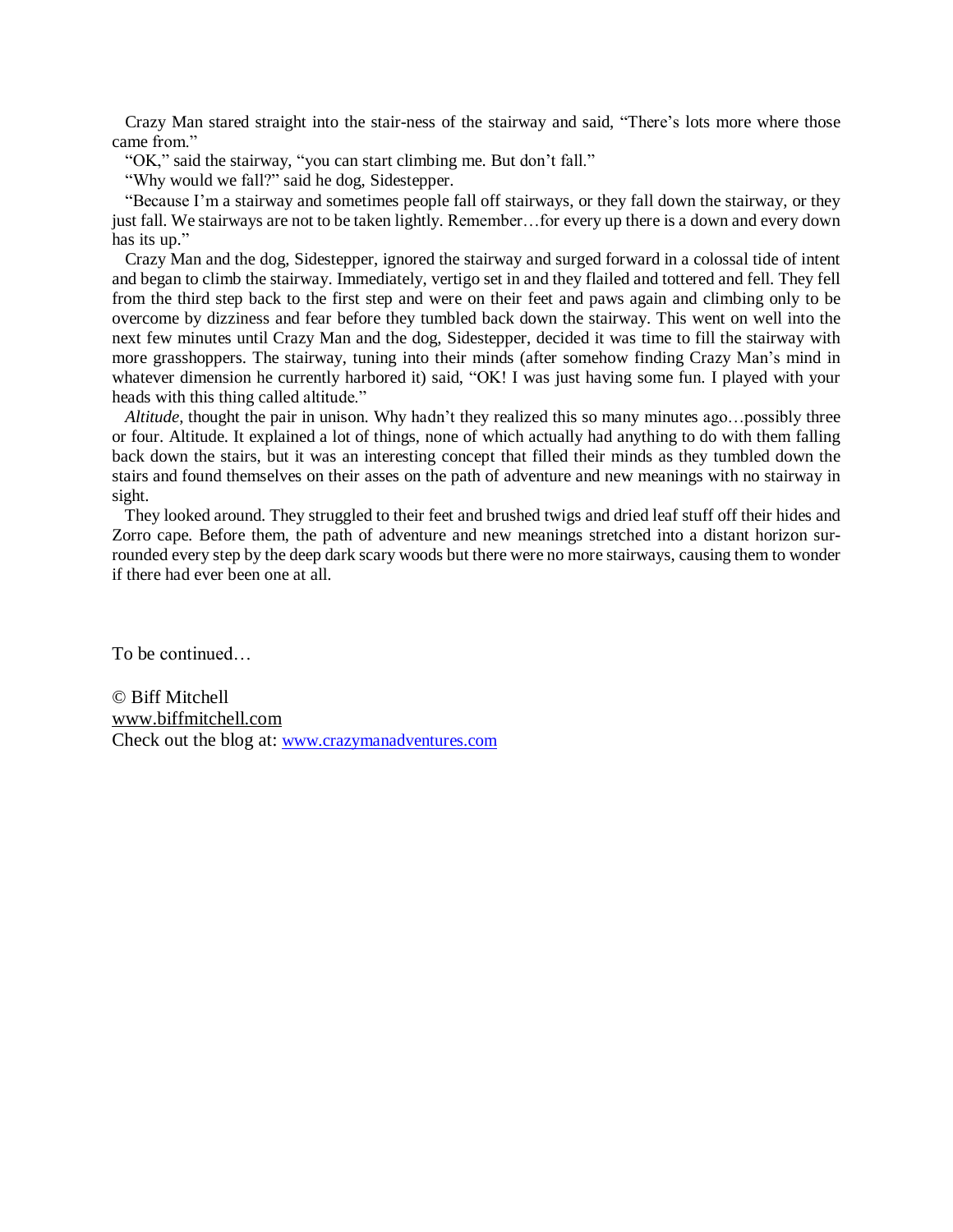Crazy Man stared straight into the stair-ness of the stairway and said, "There's lots more where those came from."

"OK," said the stairway, "you can start climbing me. But don't fall."

"Why would we fall?" said he dog, Sidestepper.

 "Because I'm a stairway and sometimes people fall off stairways, or they fall down the stairway, or they just fall. We stairways are not to be taken lightly. Remember…for every up there is a down and every down has its up."

 Crazy Man and the dog, Sidestepper, ignored the stairway and surged forward in a colossal tide of intent and began to climb the stairway. Immediately, vertigo set in and they flailed and tottered and fell. They fell from the third step back to the first step and were on their feet and paws again and climbing only to be overcome by dizziness and fear before they tumbled back down the stairway. This went on well into the next few minutes until Crazy Man and the dog, Sidestepper, decided it was time to fill the stairway with more grasshoppers. The stairway, tuning into their minds (after somehow finding Crazy Man's mind in whatever dimension he currently harbored it) said, "OK! I was just having some fun. I played with your heads with this thing called altitude."

 *Altitude*, thought the pair in unison. Why hadn't they realized this so many minutes ago…possibly three or four. Altitude. It explained a lot of things, none of which actually had anything to do with them falling back down the stairs, but it was an interesting concept that filled their minds as they tumbled down the stairs and found themselves on their asses on the path of adventure and new meanings with no stairway in sight.

 They looked around. They struggled to their feet and brushed twigs and dried leaf stuff off their hides and Zorro cape. Before them, the path of adventure and new meanings stretched into a distant horizon surrounded every step by the deep dark scary woods but there were no more stairways, causing them to wonder if there had ever been one at all.

To be continued…

© Biff Mitchell www.biffmitchell.com Check out the blog at: www.crazymanadventures.com